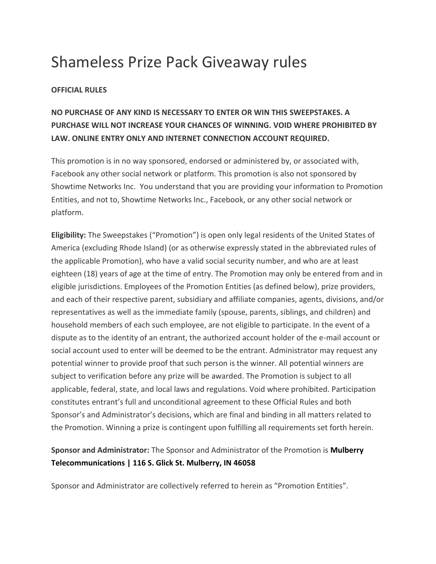# Shameless Prize Pack Giveaway rules

#### **OFFICIAL RULES**

## **NO PURCHASE OF ANY KIND IS NECESSARY TO ENTER OR WIN THIS SWEEPSTAKES. A PURCHASE WILL NOT INCREASE YOUR CHANCES OF WINNING. VOID WHERE PROHIBITED BY LAW. ONLINE ENTRY ONLY AND INTERNET CONNECTION ACCOUNT REQUIRED.**

This promotion is in no way sponsored, endorsed or administered by, or associated with, Facebook any other social network or platform. This promotion is also not sponsored by Showtime Networks Inc. You understand that you are providing your information to Promotion Entities, and not to, Showtime Networks Inc., Facebook, or any other social network or platform.

**Eligibility:** The Sweepstakes ("Promotion") is open only legal residents of the United States of America (excluding Rhode Island) (or as otherwise expressly stated in the abbreviated rules of the applicable Promotion), who have a valid social security number, and who are at least eighteen (18) years of age at the time of entry. The Promotion may only be entered from and in eligible jurisdictions. Employees of the Promotion Entities (as defined below), prize providers, and each of their respective parent, subsidiary and affiliate companies, agents, divisions, and/or representatives as well as the immediate family (spouse, parents, siblings, and children) and household members of each such employee, are not eligible to participate. In the event of a dispute as to the identity of an entrant, the authorized account holder of the e-mail account or social account used to enter will be deemed to be the entrant. Administrator may request any potential winner to provide proof that such person is the winner. All potential winners are subject to verification before any prize will be awarded. The Promotion is subject to all applicable, federal, state, and local laws and regulations. Void where prohibited. Participation constitutes entrant's full and unconditional agreement to these Official Rules and both Sponsor's and Administrator's decisions, which are final and binding in all matters related to the Promotion. Winning a prize is contingent upon fulfilling all requirements set forth herein.

### **Sponsor and Administrator:** The Sponsor and Administrator of the Promotion is **Mulberry Telecommunications | 116 S. Glick St. Mulberry, IN 46058**

Sponsor and Administrator are collectively referred to herein as "Promotion Entities".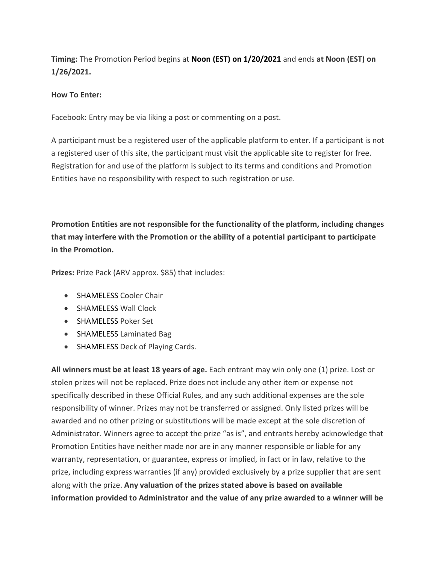**Timing:** The Promotion Period begins at **Noon (EST) on 1/20/2021** and ends **at Noon (EST) on 1/26/2021.**

#### **How To Enter:**

Facebook: Entry may be via liking a post or commenting on a post.

A participant must be a registered user of the applicable platform to enter. If a participant is not a registered user of this site, the participant must visit the applicable site to register for free. Registration for and use of the platform is subject to its terms and conditions and Promotion Entities have no responsibility with respect to such registration or use.

**Promotion Entities are not responsible for the functionality of the platform, including changes that may interfere with the Promotion or the ability of a potential participant to participate in the Promotion.**

**Prizes:** Prize Pack (ARV approx. \$85) that includes:

- SHAMELESS Cooler Chair
- SHAMELESS Wall Clock
- SHAMELESS Poker Set
- SHAMELESS Laminated Bag
- SHAMELESS Deck of Playing Cards.

**All winners must be at least 18 years of age.** Each entrant may win only one (1) prize. Lost or stolen prizes will not be replaced. Prize does not include any other item or expense not specifically described in these Official Rules, and any such additional expenses are the sole responsibility of winner. Prizes may not be transferred or assigned. Only listed prizes will be awarded and no other prizing or substitutions will be made except at the sole discretion of Administrator. Winners agree to accept the prize "as is", and entrants hereby acknowledge that Promotion Entities have neither made nor are in any manner responsible or liable for any warranty, representation, or guarantee, express or implied, in fact or in law, relative to the prize, including express warranties (if any) provided exclusively by a prize supplier that are sent along with the prize. **Any valuation of the prizes stated above is based on available information provided to Administrator and the value of any prize awarded to a winner will be**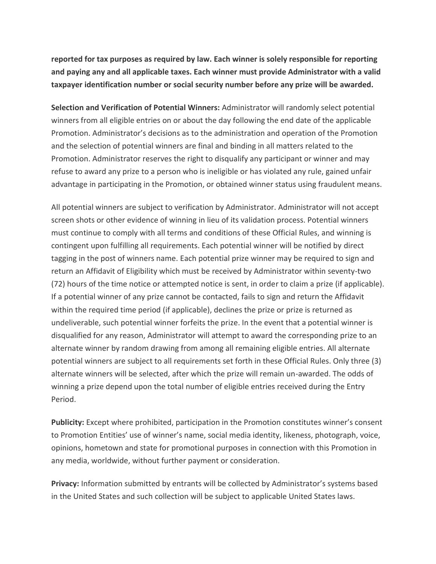**reported for tax purposes as required by law. Each winner is solely responsible for reporting and paying any and all applicable taxes. Each winner must provide Administrator with a valid taxpayer identification number or social security number before any prize will be awarded.**

**Selection and Verification of Potential Winners:** Administrator will randomly select potential winners from all eligible entries on or about the day following the end date of the applicable Promotion. Administrator's decisions as to the administration and operation of the Promotion and the selection of potential winners are final and binding in all matters related to the Promotion. Administrator reserves the right to disqualify any participant or winner and may refuse to award any prize to a person who is ineligible or has violated any rule, gained unfair advantage in participating in the Promotion, or obtained winner status using fraudulent means.

All potential winners are subject to verification by Administrator. Administrator will not accept screen shots or other evidence of winning in lieu of its validation process. Potential winners must continue to comply with all terms and conditions of these Official Rules, and winning is contingent upon fulfilling all requirements. Each potential winner will be notified by direct tagging in the post of winners name. Each potential prize winner may be required to sign and return an Affidavit of Eligibility which must be received by Administrator within seventy-two (72) hours of the time notice or attempted notice is sent, in order to claim a prize (if applicable). If a potential winner of any prize cannot be contacted, fails to sign and return the Affidavit within the required time period (if applicable), declines the prize or prize is returned as undeliverable, such potential winner forfeits the prize. In the event that a potential winner is disqualified for any reason, Administrator will attempt to award the corresponding prize to an alternate winner by random drawing from among all remaining eligible entries. All alternate potential winners are subject to all requirements set forth in these Official Rules. Only three (3) alternate winners will be selected, after which the prize will remain un-awarded. The odds of winning a prize depend upon the total number of eligible entries received during the Entry Period.

**Publicity:** Except where prohibited, participation in the Promotion constitutes winner's consent to Promotion Entities' use of winner's name, social media identity, likeness, photograph, voice, opinions, hometown and state for promotional purposes in connection with this Promotion in any media, worldwide, without further payment or consideration.

**Privacy:** Information submitted by entrants will be collected by Administrator's systems based in the United States and such collection will be subject to applicable United States laws.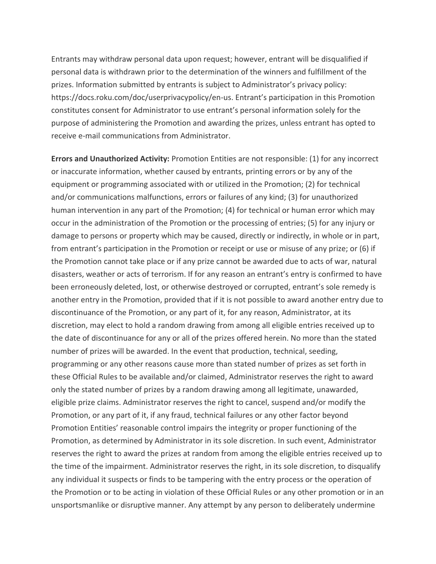Entrants may withdraw personal data upon request; however, entrant will be disqualified if personal data is withdrawn prior to the determination of the winners and fulfillment of the prizes. Information submitted by entrants is subject to Administrator's privacy policy: https://docs.roku.com/doc/userprivacypolicy/en-us. Entrant's participation in this Promotion constitutes consent for Administrator to use entrant's personal information solely for the purpose of administering the Promotion and awarding the prizes, unless entrant has opted to receive e-mail communications from Administrator.

**Errors and Unauthorized Activity:** Promotion Entities are not responsible: (1) for any incorrect or inaccurate information, whether caused by entrants, printing errors or by any of the equipment or programming associated with or utilized in the Promotion; (2) for technical and/or communications malfunctions, errors or failures of any kind; (3) for unauthorized human intervention in any part of the Promotion; (4) for technical or human error which may occur in the administration of the Promotion or the processing of entries; (5) for any injury or damage to persons or property which may be caused, directly or indirectly, in whole or in part, from entrant's participation in the Promotion or receipt or use or misuse of any prize; or (6) if the Promotion cannot take place or if any prize cannot be awarded due to acts of war, natural disasters, weather or acts of terrorism. If for any reason an entrant's entry is confirmed to have been erroneously deleted, lost, or otherwise destroyed or corrupted, entrant's sole remedy is another entry in the Promotion, provided that if it is not possible to award another entry due to discontinuance of the Promotion, or any part of it, for any reason, Administrator, at its discretion, may elect to hold a random drawing from among all eligible entries received up to the date of discontinuance for any or all of the prizes offered herein. No more than the stated number of prizes will be awarded. In the event that production, technical, seeding, programming or any other reasons cause more than stated number of prizes as set forth in these Official Rules to be available and/or claimed, Administrator reserves the right to award only the stated number of prizes by a random drawing among all legitimate, unawarded, eligible prize claims. Administrator reserves the right to cancel, suspend and/or modify the Promotion, or any part of it, if any fraud, technical failures or any other factor beyond Promotion Entities' reasonable control impairs the integrity or proper functioning of the Promotion, as determined by Administrator in its sole discretion. In such event, Administrator reserves the right to award the prizes at random from among the eligible entries received up to the time of the impairment. Administrator reserves the right, in its sole discretion, to disqualify any individual it suspects or finds to be tampering with the entry process or the operation of the Promotion or to be acting in violation of these Official Rules or any other promotion or in an unsportsmanlike or disruptive manner. Any attempt by any person to deliberately undermine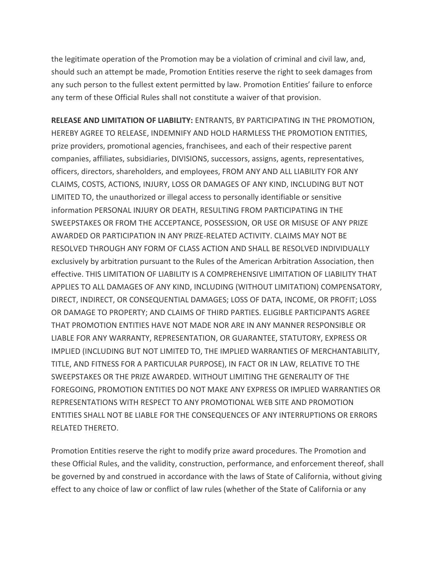the legitimate operation of the Promotion may be a violation of criminal and civil law, and, should such an attempt be made, Promotion Entities reserve the right to seek damages from any such person to the fullest extent permitted by law. Promotion Entities' failure to enforce any term of these Official Rules shall not constitute a waiver of that provision.

**RELEASE AND LIMITATION OF LIABILITY:** ENTRANTS, BY PARTICIPATING IN THE PROMOTION, HEREBY AGREE TO RELEASE, INDEMNIFY AND HOLD HARMLESS THE PROMOTION ENTITIES, prize providers, promotional agencies, franchisees, and each of their respective parent companies, affiliates, subsidiaries, DIVISIONS, successors, assigns, agents, representatives, officers, directors, shareholders, and employees, FROM ANY AND ALL LIABILITY FOR ANY CLAIMS, COSTS, ACTIONS, INJURY, LOSS OR DAMAGES OF ANY KIND, INCLUDING BUT NOT LIMITED TO, the unauthorized or illegal access to personally identifiable or sensitive information PERSONAL INJURY OR DEATH, RESULTING FROM PARTICIPATING IN THE SWEEPSTAKES OR FROM THE ACCEPTANCE, POSSESSION, OR USE OR MISUSE OF ANY PRIZE AWARDED OR PARTICIPATION IN ANY PRIZE-RELATED ACTIVITY. CLAIMS MAY NOT BE RESOLVED THROUGH ANY FORM OF CLASS ACTION AND SHALL BE RESOLVED INDIVIDUALLY exclusively by arbitration pursuant to the Rules of the American Arbitration Association, then effective. THIS LIMITATION OF LIABILITY IS A COMPREHENSIVE LIMITATION OF LIABILITY THAT APPLIES TO ALL DAMAGES OF ANY KIND, INCLUDING (WITHOUT LIMITATION) COMPENSATORY, DIRECT, INDIRECT, OR CONSEQUENTIAL DAMAGES; LOSS OF DATA, INCOME, OR PROFIT; LOSS OR DAMAGE TO PROPERTY; AND CLAIMS OF THIRD PARTIES. ELIGIBLE PARTICIPANTS AGREE THAT PROMOTION ENTITIES HAVE NOT MADE NOR ARE IN ANY MANNER RESPONSIBLE OR LIABLE FOR ANY WARRANTY, REPRESENTATION, OR GUARANTEE, STATUTORY, EXPRESS OR IMPLIED (INCLUDING BUT NOT LIMITED TO, THE IMPLIED WARRANTIES OF MERCHANTABILITY, TITLE, AND FITNESS FOR A PARTICULAR PURPOSE), IN FACT OR IN LAW, RELATIVE TO THE SWEEPSTAKES OR THE PRIZE AWARDED. WITHOUT LIMITING THE GENERALITY OF THE FOREGOING, PROMOTION ENTITIES DO NOT MAKE ANY EXPRESS OR IMPLIED WARRANTIES OR REPRESENTATIONS WITH RESPECT TO ANY PROMOTIONAL WEB SITE AND PROMOTION ENTITIES SHALL NOT BE LIABLE FOR THE CONSEQUENCES OF ANY INTERRUPTIONS OR ERRORS RELATED THERETO.

Promotion Entities reserve the right to modify prize award procedures. The Promotion and these Official Rules, and the validity, construction, performance, and enforcement thereof, shall be governed by and construed in accordance with the laws of State of California, without giving effect to any choice of law or conflict of law rules (whether of the State of California or any